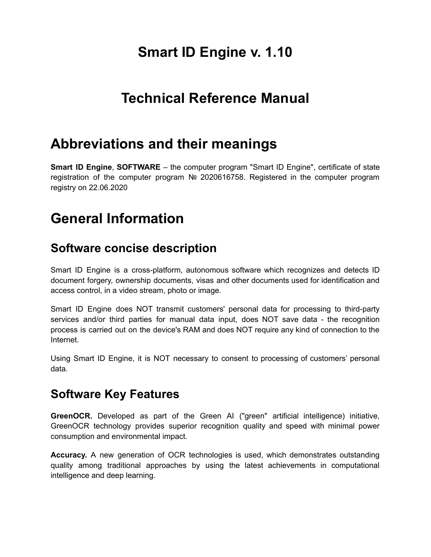# **Smart ID Engine v. 1.10**

## **Technical Reference Manual**

### **Abbreviations and their meanings**

**Smart ID Engine**, **SOFTWARE** – the computer program "Smart ID Engine", certificate of state registration of the computer program № 2020616758. Registered in the computer program registry on 22.06.2020

# **General Information**

### **Software concise description**

Smart ID Engine is a cross-platform, autonomous software which recognizes and detects ID document forgery, ownership documents, visas and other documents used for identification and access control, in a video stream, photo or image.

Smart ID Engine does NOT transmit customers' personal data for processing to third-party services and/or third parties for manual data input, does NOT save data - the recognition process is carried out on the device's RAM and does NOT require any kind of connection to the Internet.

Using Smart ID Engine, it is NOT necessary to consent to processing of customers' personal data.

### **Software Key Features**

**GreenOCR.** Developed as part of the Green AI ("green" artificial intelligence) initiative, GreenOCR technology provides superior recognition quality and speed with minimal power consumption and environmental impact.

**Accuracy.** A new generation of OCR technologies is used, which demonstrates outstanding quality among traditional approaches by using the latest achievements in computational intelligence and deep learning.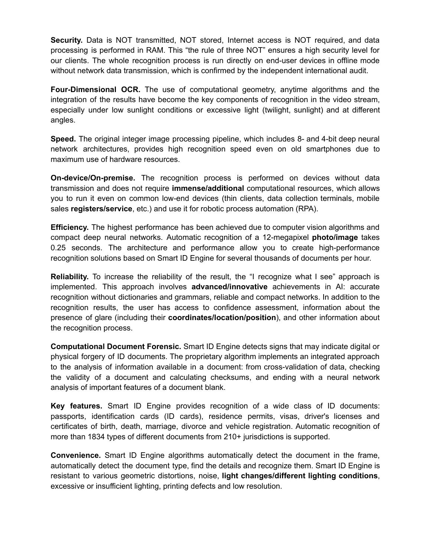**Security.** Data is NOT transmitted, NOT stored, Internet access is NOT required, and data processing is performed in RAM. This "the rule of three NOT" ensures a high security level for our clients. The whole recognition process is run directly on end-user devices in offline mode without network data transmission, which is confirmed by the independent international audit.

**Four-Dimensional OCR.** The use of computational geometry, anytime algorithms and the integration of the results have become the key components of recognition in the video stream, especially under low sunlight conditions or excessive light (twilight, sunlight) and at different angles.

**Speed.** The original integer image processing pipeline, which includes 8- and 4-bit deep neural network architectures, provides high recognition speed even on old smartphones due to maximum use of hardware resources.

**On-device/On-premise.** The recognition process is performed on devices without data transmission and does not require **immense/additional** computational resources, which allows you to run it even on common low-end devices (thin clients, data collection terminals, mobile sales **registers/service**, etc.) and use it for robotic process automation (RPA).

**Efficiency.** The highest performance has been achieved due to computer vision algorithms and compact deep neural networks. Automatic recognition of a 12-megapixel **photo/image** takes 0.25 seconds. The architecture and performance allow you to create high-performance recognition solutions based on Smart ID Engine for several thousands of documents per hour.

**Reliability.** To increase the reliability of the result, the "I recognize what I see" approach is implemented. This approach involves **advanced/innovative** achievements in AI: accurate recognition without dictionaries and grammars, reliable and compact networks. In addition to the recognition results, the user has access to confidence assessment, information about the presence of glare (including their **coordinates/location/position**), and other information about the recognition process.

**Computational Document Forensic.** Smart ID Engine detects signs that may indicate digital or physical forgery of ID documents. The proprietary algorithm implements an integrated approach to the analysis of information available in a document: from cross-validation of data, checking the validity of a document and calculating checksums, and ending with a neural network analysis of important features of a document blank.

**Key features.** Smart ID Engine provides recognition of a wide class of ID documents: passports, identification cards (ID cards), residence permits, visas, driver's licenses and certificates of birth, death, marriage, divorce and vehicle registration. Automatic recognition of more than 1834 types of different documents from 210+ jurisdictions is supported.

**Convenience.** Smart ID Engine algorithms automatically detect the document in the frame, automatically detect the document type, find the details and recognize them. Smart ID Engine is resistant to various geometric distortions, noise, **light changes/different lighting conditions**, excessive or insufficient lighting, printing defects and low resolution.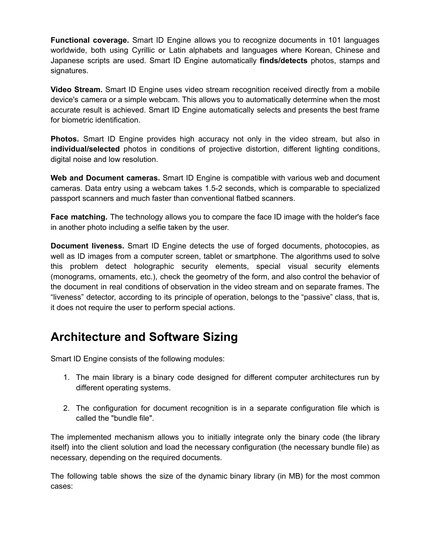**Functional coverage.** Smart ID Engine allows you to recognize documents in 101 languages worldwide, both using Cyrillic or Latin alphabets and languages where Korean, Chinese and Japanese scripts are used. Smart ID Engine automatically **finds/detects** photos, stamps and signatures.

**Video Stream.** Smart ID Engine uses video stream recognition received directly from a mobile device's camera or a simple webcam. This allows you to automatically determine when the most accurate result is achieved. Smart ID Engine automatically selects and presents the best frame for biometric identification.

**Photos.** Smart ID Engine provides high accuracy not only in the video stream, but also in **individual/selected** photos in conditions of projective distortion, different lighting conditions, digital noise and low resolution.

**Web and Document cameras.** Smart ID Engine is compatible with various web and document cameras. Data entry using a webcam takes 1.5-2 seconds, which is comparable to specialized passport scanners and much faster than conventional flatbed scanners.

**Face matching.** The technology allows you to compare the face ID image with the holder's face in another photo including a selfie taken by the user.

**Document liveness.** Smart ID Engine detects the use of forged documents, photocopies, as well as ID images from a computer screen, tablet or smartphone. The algorithms used to solve this problem detect holographic security elements, special visual security elements (monograms, ornaments, etc.), check the geometry of the form, and also control the behavior of the document in real conditions of observation in the video stream and on separate frames. The "liveness" detector, according to its principle of operation, belongs to the "passive" class, that is, it does not require the user to perform special actions.

### **Architecture and Software Sizing**

Smart ID Engine consists of the following modules:

- 1. The main library is a binary code designed for different computer architectures run by different operating systems.
- 2. The configuration for document recognition is in a separate configuration file which is called the "bundle file".

The implemented mechanism allows you to initially integrate only the binary code (the library itself) into the client solution and load the necessary configuration (the necessary bundle file) as necessary, depending on the required documents.

The following table shows the size of the dynamic binary library (in MB) for the most common cases: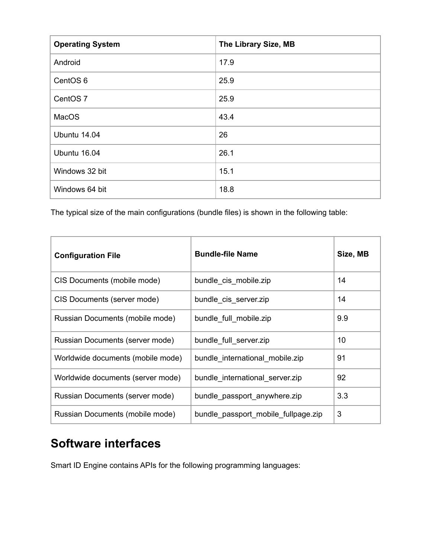| <b>Operating System</b> | The Library Size, MB |
|-------------------------|----------------------|
| Android                 | 17.9                 |
| CentOS <sub>6</sub>     | 25.9                 |
| CentOS <sub>7</sub>     | 25.9                 |
| MacOS                   | 43.4                 |
| Ubuntu 14.04            | 26                   |
| Ubuntu 16.04            | 26.1                 |
| Windows 32 bit          | 15.1                 |
| Windows 64 bit          | 18.8                 |

The typical size of the main configurations (bundle files) is shown in the following table:

| <b>Configuration File</b>         | <b>Bundle-file Name</b>             | Size, MB |
|-----------------------------------|-------------------------------------|----------|
| CIS Documents (mobile mode)       | bundle_cis_mobile.zip               | 14       |
| CIS Documents (server mode)       | bundle_cis_server.zip               | 14       |
| Russian Documents (mobile mode)   | bundle full mobile.zip              | 9.9      |
| Russian Documents (server mode)   | bundle_full_server.zip              | 10       |
| Worldwide documents (mobile mode) | bundle international mobile.zip     | 91       |
| Worldwide documents (server mode) | bundle international server.zip     | 92       |
| Russian Documents (server mode)   | bundle passport anywhere.zip        | 3.3      |
| Russian Documents (mobile mode)   | bundle passport mobile fullpage.zip | 3        |

### **Software interfaces**

Smart ID Engine contains APIs for the following programming languages: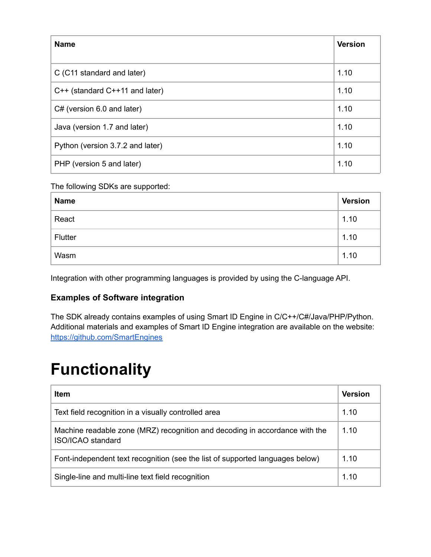| <b>Name</b>                      | <b>Version</b> |
|----------------------------------|----------------|
|                                  |                |
| C (C11 standard and later)       | 1.10           |
| C++ (standard C++11 and later)   | 1.10           |
| $C#$ (version 6.0 and later)     | 1.10           |
| Java (version 1.7 and later)     | 1.10           |
| Python (version 3.7.2 and later) | 1.10           |
| PHP (version 5 and later)        | 1.10           |

#### The following SDKs are supported:

| <b>Name</b> | <b>Version</b> |
|-------------|----------------|
| React       | 1.10           |
| Flutter     | 1.10           |
| Wasm        | 1.10           |

Integration with other programming languages is provided by using the C-language API.

#### **Examples of Software integration**

The SDK already contains examples of using Smart ID Engine in C/C++/C#/Java/PHP/Python. Additional materials and examples of Smart ID Engine integration are available on the website[:](https://github.com/SmartEngines) <https://github.com/SmartEngines>

# **Functionality**

| Item                                                                                                    | <b>Version</b> |
|---------------------------------------------------------------------------------------------------------|----------------|
| Text field recognition in a visually controlled area                                                    | 1.10           |
| Machine readable zone (MRZ) recognition and decoding in accordance with the<br><b>ISO/ICAO</b> standard | 1.10           |
| Font-independent text recognition (see the list of supported languages below)                           | 1.10           |
| Single-line and multi-line text field recognition                                                       | 1.10           |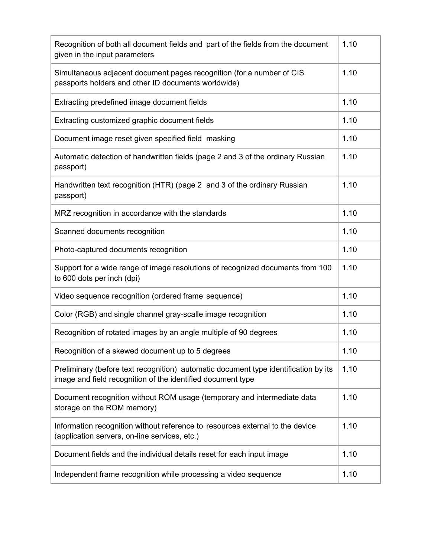| Recognition of both all document fields and part of the fields from the document<br>given in the input parameters                                  | 1.10 |
|----------------------------------------------------------------------------------------------------------------------------------------------------|------|
| Simultaneous adjacent document pages recognition (for a number of CIS<br>passports holders and other ID documents worldwide)                       | 1.10 |
| Extracting predefined image document fields                                                                                                        | 1.10 |
| Extracting customized graphic document fields                                                                                                      | 1.10 |
| Document image reset given specified field masking                                                                                                 | 1.10 |
| Automatic detection of handwritten fields (page 2 and 3 of the ordinary Russian<br>passport)                                                       | 1.10 |
| Handwritten text recognition (HTR) (page 2 and 3 of the ordinary Russian<br>passport)                                                              | 1.10 |
| MRZ recognition in accordance with the standards                                                                                                   | 1.10 |
| Scanned documents recognition                                                                                                                      | 1.10 |
| Photo-captured documents recognition                                                                                                               | 1.10 |
| Support for a wide range of image resolutions of recognized documents from 100<br>to 600 dots per inch (dpi)                                       | 1.10 |
| Video sequence recognition (ordered frame sequence)                                                                                                | 1.10 |
| Color (RGB) and single channel gray-scalle image recognition                                                                                       | 1.10 |
| Recognition of rotated images by an angle multiple of 90 degrees                                                                                   | 1.10 |
| Recognition of a skewed document up to 5 degrees                                                                                                   | 1.10 |
| Preliminary (before text recognition) automatic document type identification by its<br>image and field recognition of the identified document type | 1.10 |
| Document recognition without ROM usage (temporary and intermediate data<br>storage on the ROM memory)                                              | 1.10 |
| Information recognition without reference to resources external to the device<br>(application servers, on-line services, etc.)                     | 1.10 |
| Document fields and the individual details reset for each input image                                                                              | 1.10 |
| Independent frame recognition while processing a video sequence                                                                                    | 1.10 |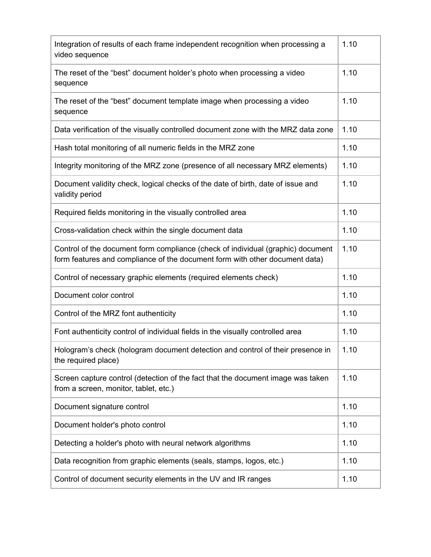| Integration of results of each frame independent recognition when processing a<br>video sequence                                                               | 1.10 |
|----------------------------------------------------------------------------------------------------------------------------------------------------------------|------|
| The reset of the "best" document holder's photo when processing a video<br>sequence                                                                            | 1.10 |
| The reset of the "best" document template image when processing a video<br>sequence                                                                            | 1.10 |
| Data verification of the visually controlled document zone with the MRZ data zone                                                                              | 1.10 |
| Hash total monitoring of all numeric fields in the MRZ zone                                                                                                    | 1.10 |
| Integrity monitoring of the MRZ zone (presence of all necessary MRZ elements)                                                                                  | 1.10 |
| Document validity check, logical checks of the date of birth, date of issue and<br>validity period                                                             | 1.10 |
| Required fields monitoring in the visually controlled area                                                                                                     | 1.10 |
| Cross-validation check within the single document data                                                                                                         | 1.10 |
| Control of the document form compliance (check of individual (graphic) document<br>form features and compliance of the document form with other document data) | 1.10 |
| Control of necessary graphic elements (required elements check)                                                                                                | 1.10 |
| Document color control                                                                                                                                         | 1.10 |
| Control of the MRZ font authenticity                                                                                                                           | 1.10 |
| Font authenticity control of individual fields in the visually controlled area                                                                                 | 1.10 |
| Hologram's check (hologram document detection and control of their presence in<br>the required place)                                                          | 1.10 |
| Screen capture control (detection of the fact that the document image was taken<br>from a screen, monitor, tablet, etc.)                                       | 1.10 |
| Document signature control                                                                                                                                     | 1.10 |
| Document holder's photo control                                                                                                                                | 1.10 |
| Detecting a holder's photo with neural network algorithms                                                                                                      | 1.10 |
| Data recognition from graphic elements (seals, stamps, logos, etc.)                                                                                            | 1.10 |
| Control of document security elements in the UV and IR ranges                                                                                                  | 1.10 |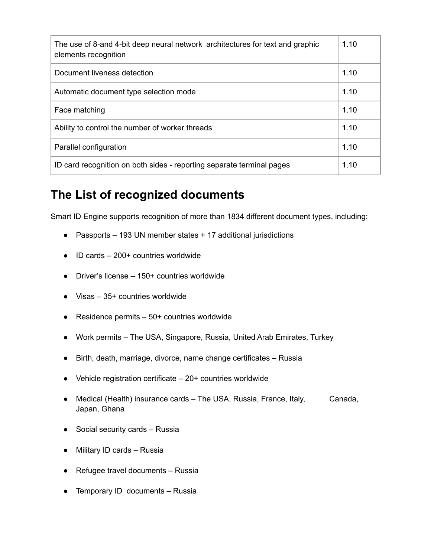| The use of 8-and 4-bit deep neural network architectures for text and graphic<br>elements recognition | 1.10 |
|-------------------------------------------------------------------------------------------------------|------|
| Document liveness detection                                                                           | 1.10 |
| Automatic document type selection mode                                                                | 1.10 |
| Face matching                                                                                         | 1.10 |
| Ability to control the number of worker threads                                                       | 1.10 |
| Parallel configuration                                                                                | 1.10 |
| ID card recognition on both sides - reporting separate terminal pages                                 | 1.10 |

### **The List of recognized documents**

Smart ID Engine supports recognition of more than 1834 different document types, including:

- Passports 193 UN member states + 17 additional jurisdictions
- ID cards 200+ countries worldwide
- Driver's license 150+ countries worldwide
- Visas 35+ countries worldwide
- $\bullet$  Residence permits  $-50+$  countries worldwide
- Work permits The USA, Singapore, Russia, United Arab Emirates, Turkey
- Birth, death, marriage, divorce, name change certificates Russia
- $\bullet$  Vehicle registration certificate  $-20+$  countries worldwide
- Medical (Health) insurance cards The USA, Russia, France, Italy, Canada, Japan, Ghana
- $\bullet$  Social security cards Russia
- Military ID cards Russia
- Refugee travel documents Russia
- Temporary ID documents Russia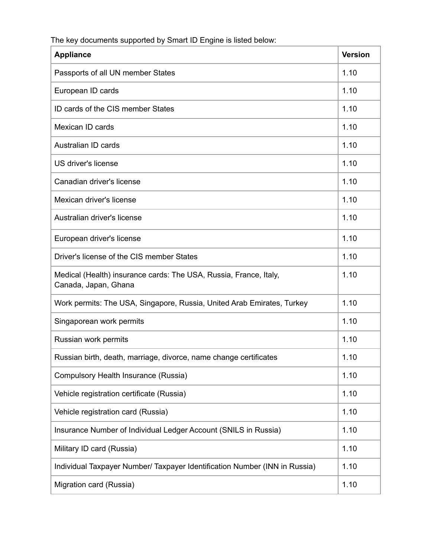The key documents supported by Smart ID Engine is listed below:

| <b>Appliance</b>                                                                          | <b>Version</b> |
|-------------------------------------------------------------------------------------------|----------------|
| Passports of all UN member States                                                         | 1.10           |
| European ID cards                                                                         | 1.10           |
| ID cards of the CIS member States                                                         | 1.10           |
| Mexican ID cards                                                                          | 1.10           |
| Australian ID cards                                                                       | 1.10           |
| US driver's license                                                                       | 1.10           |
| Canadian driver's license                                                                 | 1.10           |
| Mexican driver's license                                                                  | 1.10           |
| Australian driver's license                                                               | 1.10           |
| European driver's license                                                                 | 1.10           |
| Driver's license of the CIS member States                                                 | 1.10           |
| Medical (Health) insurance cards: The USA, Russia, France, Italy,<br>Canada, Japan, Ghana | 1.10           |
| Work permits: The USA, Singapore, Russia, United Arab Emirates, Turkey                    | 1.10           |
| Singaporean work permits                                                                  | 1.10           |
| Russian work permits                                                                      | 1.10           |
| Russian birth, death, marriage, divorce, name change certificates                         | 1.10           |
| Compulsory Health Insurance (Russia)                                                      | 1.10           |
| Vehicle registration certificate (Russia)                                                 | 1.10           |
| Vehicle registration card (Russia)                                                        | 1.10           |
| Insurance Number of Individual Ledger Account (SNILS in Russia)                           | 1.10           |
| Military ID card (Russia)                                                                 | 1.10           |
| Individual Taxpayer Number/ Taxpayer Identification Number (INN in Russia)                | 1.10           |
| Migration card (Russia)                                                                   | 1.10           |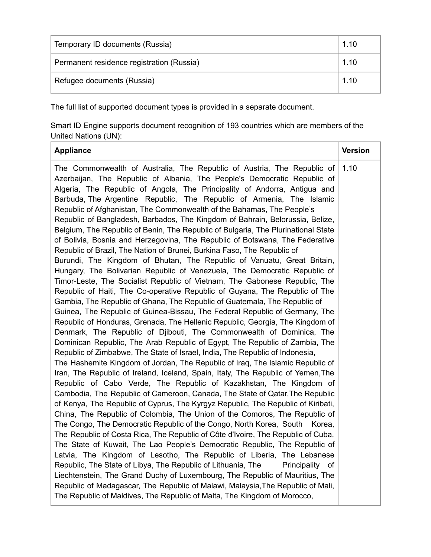| Temporary ID documents (Russia)           | 1.10 |
|-------------------------------------------|------|
| Permanent residence registration (Russia) | 1.10 |
| Refugee documents (Russia)                | 1.10 |

The full list of supported document types is provided in a separate document.

Smart ID Engine supports document recognition of 193 countries which are members of the United Nations (UN):

| <b>Appliance</b>                                                                                                                                                                                                                                                                                                                                                                                                                                                                                                                                                                                                                                                                                                                                                                                                                                                                                                                                                                                                                                                                                                                                                                                                                                                                                                                                                                                                                                                                                                                                                                                                                                                                                                                                                                                                                                                                                                                                                                                                                                                                                          | <b>Version</b> |
|-----------------------------------------------------------------------------------------------------------------------------------------------------------------------------------------------------------------------------------------------------------------------------------------------------------------------------------------------------------------------------------------------------------------------------------------------------------------------------------------------------------------------------------------------------------------------------------------------------------------------------------------------------------------------------------------------------------------------------------------------------------------------------------------------------------------------------------------------------------------------------------------------------------------------------------------------------------------------------------------------------------------------------------------------------------------------------------------------------------------------------------------------------------------------------------------------------------------------------------------------------------------------------------------------------------------------------------------------------------------------------------------------------------------------------------------------------------------------------------------------------------------------------------------------------------------------------------------------------------------------------------------------------------------------------------------------------------------------------------------------------------------------------------------------------------------------------------------------------------------------------------------------------------------------------------------------------------------------------------------------------------------------------------------------------------------------------------------------------------|----------------|
| The Commonwealth of Australia, The Republic of Austria, The Republic of<br>Azerbaijan, The Republic of Albania, The People's Democratic Republic of<br>Algeria, The Republic of Angola, The Principality of Andorra, Antigua and<br>Barbuda, The Argentine Republic, The Republic of Armenia, The Islamic<br>Republic of Afghanistan, The Commonwealth of the Bahamas, The People's<br>Republic of Bangladesh, Barbados, The Kingdom of Bahrain, Belorussia, Belize,<br>Belgium, The Republic of Benin, The Republic of Bulgaria, The Plurinational State<br>of Bolivia, Bosnia and Herzegovina, The Republic of Botswana, The Federative<br>Republic of Brazil, The Nation of Brunei, Burkina Faso, The Republic of<br>Burundi, The Kingdom of Bhutan, The Republic of Vanuatu, Great Britain,<br>Hungary, The Bolivarian Republic of Venezuela, The Democratic Republic of<br>Timor-Leste, The Socialist Republic of Vietnam, The Gabonese Republic, The<br>Republic of Haiti, The Co-operative Republic of Guyana, The Republic of The<br>Gambia, The Republic of Ghana, The Republic of Guatemala, The Republic of<br>Guinea, The Republic of Guinea-Bissau, The Federal Republic of Germany, The<br>Republic of Honduras, Grenada, The Hellenic Republic, Georgia, The Kingdom of<br>Denmark, The Republic of Djibouti, The Commonwealth of Dominica, The<br>Dominican Republic, The Arab Republic of Egypt, The Republic of Zambia, The<br>Republic of Zimbabwe, The State of Israel, India, The Republic of Indonesia,<br>The Hashemite Kingdom of Jordan, The Republic of Iraq, The Islamic Republic of<br>Iran, The Republic of Ireland, Iceland, Spain, Italy, The Republic of Yemen, The<br>Republic of Cabo Verde, The Republic of Kazakhstan, The Kingdom of<br>Cambodia, The Republic of Cameroon, Canada, The State of Qatar, The Republic<br>of Kenya, The Republic of Cyprus, The Kyrgyz Republic, The Republic of Kiribati,<br>China, The Republic of Colombia, The Union of the Comoros, The Republic of<br>The Congo, The Democratic Republic of the Congo, North Korea, South Korea, | 1.10           |
| The Republic of Costa Rica, The Republic of Côte d'Ivoire, The Republic of Cuba,                                                                                                                                                                                                                                                                                                                                                                                                                                                                                                                                                                                                                                                                                                                                                                                                                                                                                                                                                                                                                                                                                                                                                                                                                                                                                                                                                                                                                                                                                                                                                                                                                                                                                                                                                                                                                                                                                                                                                                                                                          |                |
| The State of Kuwait, The Lao People's Democratic Republic, The Republic of<br>Latvia, The Kingdom of Lesotho, The Republic of Liberia, The Lebanese                                                                                                                                                                                                                                                                                                                                                                                                                                                                                                                                                                                                                                                                                                                                                                                                                                                                                                                                                                                                                                                                                                                                                                                                                                                                                                                                                                                                                                                                                                                                                                                                                                                                                                                                                                                                                                                                                                                                                       |                |
| Republic, The State of Libya, The Republic of Lithuania, The<br>Principality of<br>Liechtenstein, The Grand Duchy of Luxembourg, The Republic of Mauritius, The                                                                                                                                                                                                                                                                                                                                                                                                                                                                                                                                                                                                                                                                                                                                                                                                                                                                                                                                                                                                                                                                                                                                                                                                                                                                                                                                                                                                                                                                                                                                                                                                                                                                                                                                                                                                                                                                                                                                           |                |
| Republic of Madagascar, The Republic of Malawi, Malaysia, The Republic of Mali,<br>The Republic of Maldives, The Republic of Malta, The Kingdom of Morocco,                                                                                                                                                                                                                                                                                                                                                                                                                                                                                                                                                                                                                                                                                                                                                                                                                                                                                                                                                                                                                                                                                                                                                                                                                                                                                                                                                                                                                                                                                                                                                                                                                                                                                                                                                                                                                                                                                                                                               |                |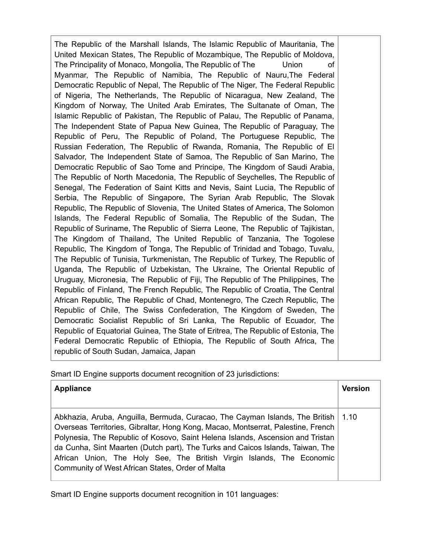The Republic of the Marshall Islands, The Islamic Republic of Mauritania, The United Mexican States, The Republic of Mozambique, The Republic of Moldova, The Principality of Monaco, Mongolia, The Republic of The Union of Myanmar, The Republic of Namibia, The Republic of Nauru,The Federal Democratic Republic of Nepal, The Republic of The Niger, The Federal Republic of Nigeria, The Netherlands, The Republic of Nicaragua, New Zealand, The Kingdom of Norway, The United Arab Emirates, The Sultanate of Oman, The Islamic Republic of Pakistan, The Republic of Palau, The Republic of Panama, The Independent State of Papua New Guinea, The Republic of Paraguay, The Republic of Peru, The Republic of Poland, The Portuguese Republic, The Russian Federation, The Republic of Rwanda, Romania, The Republic of El Salvador, The Independent State of Samoa, The Republic of San Marino, The Democratic Republic of Sao Tome and Principe, The Kingdom of Saudi Arabia, The Republic of North Macedonia, The Republic of Seychelles, The Republic of Senegal, The Federation of Saint Kitts and Nevis, Saint Lucia, The Republic of Serbia, The Republic of Singapore, The Syrian Arab Republic, The Slovak Republic, The Republic of Slovenia, The United States of America, The Solomon Islands, The Federal Republic of Somalia, The Republic of the Sudan, The Republic of Suriname, The Republic of Sierra Leone, The Republic of Tajikistan, The Kingdom of Thailand, The United Republic of Tanzania, The Togolese Republic, The Kingdom of Tonga, The Republic of Trinidad and Tobago, Tuvalu, The Republic of Tunisia, Turkmenistan, The Republic of Turkey, The Republic of Uganda, The Republic of Uzbekistan, The Ukraine, The Oriental Republic of Uruguay, Micronesia, The Republic of Fiji, The Republic of The Philippines, The Republic of Finland, The French Republic, The Republic of Croatia, The Central African Republic, The Republic of Chad, Montenegro, The Czech Republic, The Republic of Chile, The Swiss Confederation, The Kingdom of Sweden, The Democratic Socialist Republic of Sri Lanka, The Republic of Ecuador, The Republic of Equatorial Guinea, The State of Eritrea, The Republic of Estonia, The Federal Democratic Republic of Ethiopia, The Republic of South Africa, The republic of South Sudan, Jamaica, Japan

Smart ID Engine supports document recognition of 23 jurisdictions:

| <b>Appliance</b>                                                                                                                                                                                                                                                                                                                                                                                                                                                         | <b>Version</b> |
|--------------------------------------------------------------------------------------------------------------------------------------------------------------------------------------------------------------------------------------------------------------------------------------------------------------------------------------------------------------------------------------------------------------------------------------------------------------------------|----------------|
| Abkhazia, Aruba, Anguilla, Bermuda, Curacao, The Cayman Islands, The British   1.10<br>Overseas Territories, Gibraltar, Hong Kong, Macao, Montserrat, Palestine, French<br>Polynesia, The Republic of Kosovo, Saint Helena Islands, Ascension and Tristan<br>da Cunha, Sint Maarten (Dutch part), The Turks and Caicos Islands, Taiwan, The<br>African Union, The Holy See, The British Virgin Islands, The Economic<br>Community of West African States, Order of Malta |                |

Smart ID Engine supports document recognition in 101 languages: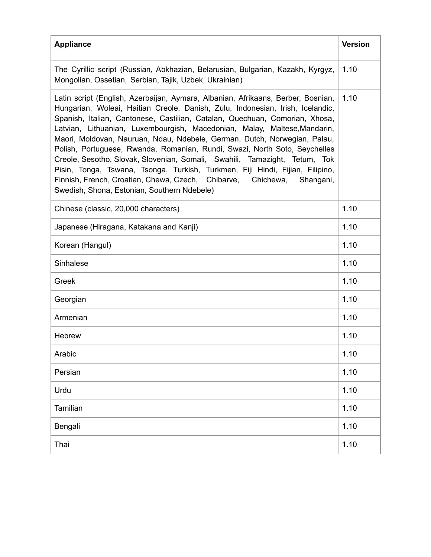| <b>Appliance</b>                                                                                                                                                                                                                                                                                                                                                                                                                                                                                                                                                                                                                                                                                                                                                                     | <b>Version</b> |
|--------------------------------------------------------------------------------------------------------------------------------------------------------------------------------------------------------------------------------------------------------------------------------------------------------------------------------------------------------------------------------------------------------------------------------------------------------------------------------------------------------------------------------------------------------------------------------------------------------------------------------------------------------------------------------------------------------------------------------------------------------------------------------------|----------------|
| The Cyrillic script (Russian, Abkhazian, Belarusian, Bulgarian, Kazakh, Kyrgyz,<br>Mongolian, Ossetian, Serbian, Tajik, Uzbek, Ukrainian)                                                                                                                                                                                                                                                                                                                                                                                                                                                                                                                                                                                                                                            | 1.10           |
| Latin script (English, Azerbaijan, Aymara, Albanian, Afrikaans, Berber, Bosnian,<br>Hungarian, Woleai, Haitian Creole, Danish, Zulu, Indonesian, Irish, Icelandic,<br>Spanish, Italian, Cantonese, Castilian, Catalan, Quechuan, Comorian, Xhosa,<br>Latvian, Lithuanian, Luxembourgish, Macedonian, Malay, Maltese, Mandarin,<br>Maori, Moldovan, Nauruan, Ndau, Ndebele, German, Dutch, Norwegian, Palau,<br>Polish, Portuguese, Rwanda, Romanian, Rundi, Swazi, North Soto, Seychelles<br>Creole, Sesotho, Slovak, Slovenian, Somali, Swahili, Tamazight, Tetum, Tok<br>Pisin, Tonga, Tswana, Tsonga, Turkish, Turkmen, Fiji Hindi, Fijian, Filipino,<br>Finnish, French, Croatian, Chewa, Czech, Chibarve, Chichewa,<br>Shangani,<br>Swedish, Shona, Estonian, Southern Ndebele) | 1.10           |
| Chinese (classic, 20,000 characters)                                                                                                                                                                                                                                                                                                                                                                                                                                                                                                                                                                                                                                                                                                                                                 | 1.10           |
| Japanese (Hiragana, Katakana and Kanji)                                                                                                                                                                                                                                                                                                                                                                                                                                                                                                                                                                                                                                                                                                                                              | 1.10           |
| Korean (Hangul)                                                                                                                                                                                                                                                                                                                                                                                                                                                                                                                                                                                                                                                                                                                                                                      | 1.10           |
| Sinhalese                                                                                                                                                                                                                                                                                                                                                                                                                                                                                                                                                                                                                                                                                                                                                                            | 1.10           |
| Greek                                                                                                                                                                                                                                                                                                                                                                                                                                                                                                                                                                                                                                                                                                                                                                                | 1.10           |
| Georgian                                                                                                                                                                                                                                                                                                                                                                                                                                                                                                                                                                                                                                                                                                                                                                             | 1.10           |
| Armenian                                                                                                                                                                                                                                                                                                                                                                                                                                                                                                                                                                                                                                                                                                                                                                             | 1.10           |
| <b>Hebrew</b>                                                                                                                                                                                                                                                                                                                                                                                                                                                                                                                                                                                                                                                                                                                                                                        | 1.10           |
| Arabic                                                                                                                                                                                                                                                                                                                                                                                                                                                                                                                                                                                                                                                                                                                                                                               | 1.10           |
| Persian                                                                                                                                                                                                                                                                                                                                                                                                                                                                                                                                                                                                                                                                                                                                                                              | 1.10           |
| Urdu                                                                                                                                                                                                                                                                                                                                                                                                                                                                                                                                                                                                                                                                                                                                                                                 | 1.10           |
| Tamilian                                                                                                                                                                                                                                                                                                                                                                                                                                                                                                                                                                                                                                                                                                                                                                             | 1.10           |
| Bengali                                                                                                                                                                                                                                                                                                                                                                                                                                                                                                                                                                                                                                                                                                                                                                              | 1.10           |
| Thai                                                                                                                                                                                                                                                                                                                                                                                                                                                                                                                                                                                                                                                                                                                                                                                 | 1.10           |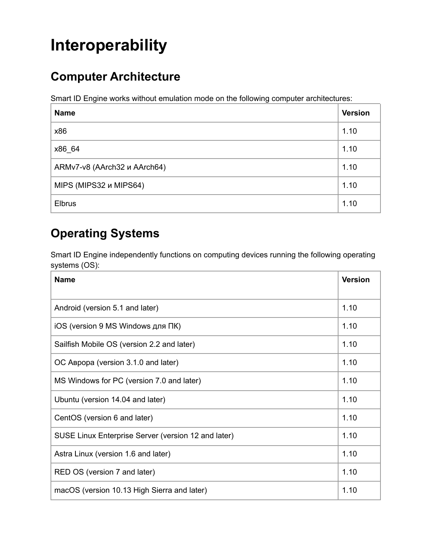# **Interoperability**

## **Computer Architecture**

Smart ID Engine works without emulation mode on the following computer architectures:

| <b>Name</b>                  | <b>Version</b> |
|------------------------------|----------------|
| x86                          | 1.10           |
| x86 64                       | 1.10           |
| ARMv7-v8 (AArch32 и AArch64) | 1.10           |
| MIPS (MIPS32 и MIPS64)       | 1.10           |
| <b>Elbrus</b>                | 1.10           |

### **Operating Systems**

Smart ID Engine independently functions on computing devices running the following operating systems (OS):

| <b>Name</b>                                         | <b>Version</b> |
|-----------------------------------------------------|----------------|
| Android (version 5.1 and later)                     | 1.10           |
| iOS (version 9 MS Windows для ПК)                   | 1.10           |
| Sailfish Mobile OS (version 2.2 and later)          | 1.10           |
| ОС Аврора (version 3.1.0 and later)                 | 1.10           |
| MS Windows for PC (version 7.0 and later)           | 1.10           |
| Ubuntu (version 14.04 and later)                    | 1.10           |
| CentOS (version 6 and later)                        | 1.10           |
| SUSE Linux Enterprise Server (version 12 and later) | 1.10           |
| Astra Linux (version 1.6 and later)                 | 1.10           |
| RED OS (version 7 and later)                        | 1.10           |
| macOS (version 10.13 High Sierra and later)         | 1.10           |